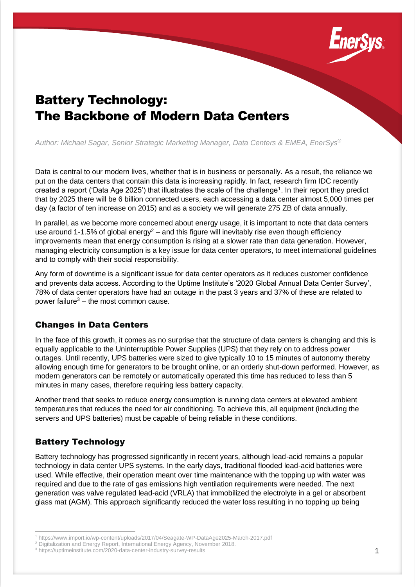

# Battery Technology: The Backbone of Modern Data Centers

*Author: Michael Sagar, Senior Strategic Marketing Manager, Data Centers & EMEA, EnerSys®*

Data is central to our modern lives, whether that is in business or personally. As a result, the reliance we put on the data centers that contain this data is increasing rapidly. In fact, research firm IDC recently created a report ('Data Age 2025') that illustrates the scale of the challenge<sup>1</sup>. In their report they predict that by 2025 there will be 6 billion connected users, each accessing a data center almost 5,000 times per day (a factor of ten increase on 2015) and as a society we will generate 275 ZB of data annually.

In parallel, as we become more concerned about energy usage, it is important to note that data centers use around 1-1.5% of global energy<sup>2</sup> – and this figure will inevitably rise even though efficiency improvements mean that energy consumption is rising at a slower rate than data generation. However, managing electricity consumption is a key issue for data center operators, to meet international guidelines and to comply with their social responsibility.

Any form of downtime is a significant issue for data center operators as it reduces customer confidence and prevents data access. According to the Uptime Institute's '2020 Global Annual Data Center Survey', 78% of data center operators have had an outage in the past 3 years and 37% of these are related to power failure $3$  – the most common cause.

#### Changes in Data Centers

In the face of this growth, it comes as no surprise that the structure of data centers is changing and this is equally applicable to the Uninterruptible Power Supplies (UPS) that they rely on to address power outages. Until recently, UPS batteries were sized to give typically 10 to 15 minutes of autonomy thereby allowing enough time for generators to be brought online, or an orderly shut-down performed. However, as modern generators can be remotely or automatically operated this time has reduced to less than 5 minutes in many cases, therefore requiring less battery capacity.

Another trend that seeks to reduce energy consumption is running data centers at elevated ambient temperatures that reduces the need for air conditioning. To achieve this, all equipment (including the servers and UPS batteries) must be capable of being reliable in these conditions.

### Battery Technology

Battery technology has progressed significantly in recent years, although lead-acid remains a popular technology in data center UPS systems. In the early days, traditional flooded lead-acid batteries were used. While effective, their operation meant over time maintenance with the topping up with water was required and due to the rate of gas emissions high ventilation requirements were needed. The next generation was valve regulated lead-acid (VRLA) that immobilized the electrolyte in a gel or absorbent glass mat (AGM). This approach significantly reduced the water loss resulting in no topping up being

<sup>1</sup> https://www.import.io/wp-content/uploads/2017/04/Seagate-WP-DataAge2025-March-2017.pdf

<sup>2</sup> Digitalization and Energy Report, International Energy Agency, November 2018.

<sup>3</sup> https://uptimeinstitute.com/2020-data-center-industry-survey-results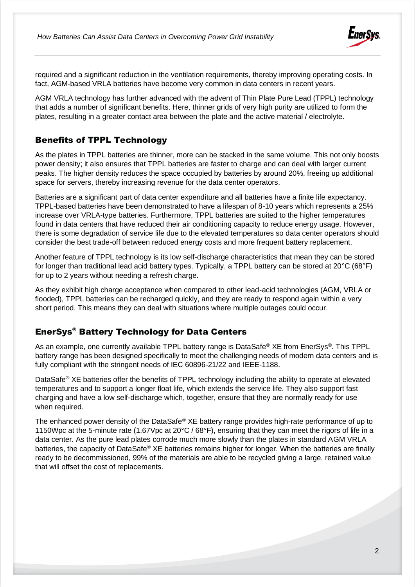

required and a significant reduction in the ventilation requirements, thereby improving operating costs. In fact, AGM-based VRLA batteries have become very common in data centers in recent years.

AGM VRLA technology has further advanced with the advent of Thin Plate Pure Lead (TPPL) technology that adds a number of significant benefits. Here, thinner grids of very high purity are utilized to form the plates, resulting in a greater contact area between the plate and the active material / electrolyte.

### Benefits of TPPL Technology

As the plates in TPPL batteries are thinner, more can be stacked in the same volume. This not only boosts power density; it also ensures that TPPL batteries are faster to charge and can deal with larger current peaks. The higher density reduces the space occupied by batteries by around 20%, freeing up additional space for servers, thereby increasing revenue for the data center operators.

Batteries are a significant part of data center expenditure and all batteries have a finite life expectancy. TPPL-based batteries have been demonstrated to have a lifespan of 8-10 years which represents a 25% increase over VRLA-type batteries. Furthermore, TPPL batteries are suited to the higher temperatures found in data centers that have reduced their air conditioning capacity to reduce energy usage. However, there is some degradation of service life due to the elevated temperatures so data center operators should consider the best trade-off between reduced energy costs and more frequent battery replacement.

Another feature of TPPL technology is its low self-discharge characteristics that mean they can be stored for longer than traditional lead acid battery types. Typically, a TPPL battery can be stored at 20°C (68°F) for up to 2 years without needing a refresh charge.

As they exhibit high charge acceptance when compared to other lead-acid technologies (AGM, VRLA or flooded), TPPL batteries can be recharged quickly, and they are ready to respond again within a very short period. This means they can deal with situations where multiple outages could occur.

### EnerSys® Battery Technology for Data Centers

As an example, one currently available TPPL battery range is DataSafe<sup>®</sup> XE from EnerSys<sup>®</sup>. This TPPL battery range has been designed specifically to meet the challenging needs of modern data centers and is fully compliant with the stringent needs of IEC 60896-21/22 and IEEE-1188.

DataSafe<sup>®</sup> XE batteries offer the benefits of TPPL technology including the ability to operate at elevated temperatures and to support a longer float life, which extends the service life. They also support fast charging and have a low self-discharge which, together, ensure that they are normally ready for use when required.

The enhanced power density of the DataSafe® XE battery range provides high-rate performance of up to 1150Wpc at the 5-minute rate (1.67Vpc at 20°C / 68°F), ensuring that they can meet the rigors of life in a data center. As the pure lead plates corrode much more slowly than the plates in standard AGM VRLA batteries, the capacity of DataSafe® XE batteries remains higher for longer. When the batteries are finally ready to be decommissioned, 99% of the materials are able to be recycled giving a large, retained value that will offset the cost of replacements.